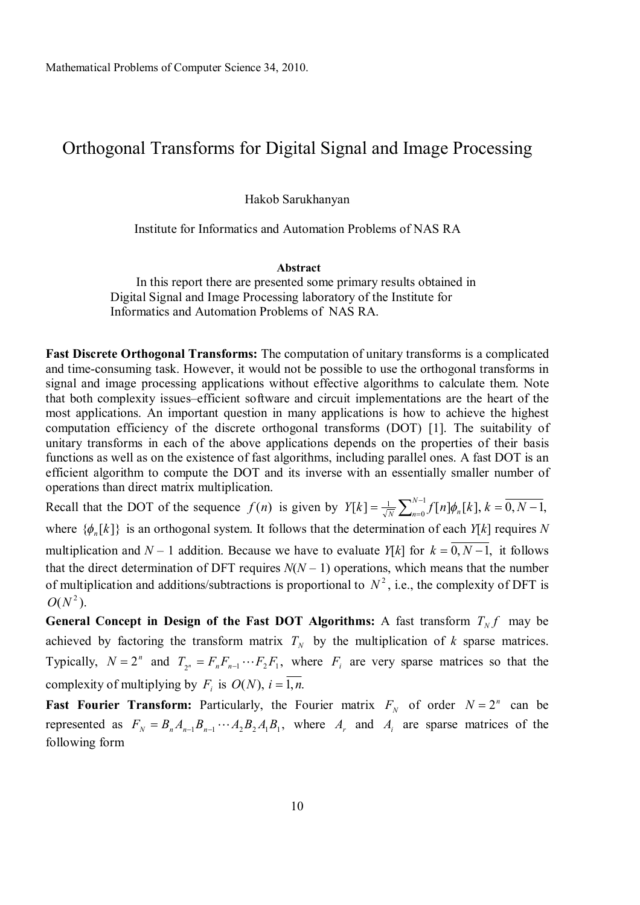# Orthogonal Transforms for Digital Signal and Image Processing

Hakob Sarukhanyan

### Institute for Informatics and Automation Problems of NAS RA

#### **Abstract**

In this report there are presented some primary results obtained in Digital Signal and Image Processing laboratory of the Institute for Informatics and Automation Problems of NAS RA.

**Fast Discrete Orthogonal Transforms:** The computation of unitary transforms is a complicated and time-consuming task. However, it would not be possible to use the orthogonal transforms in signal and image processing applications without effective algorithms to calculate them. Note that both complexity issues–efficient software and circuit implementations are the heart of the most applications. An important question in many applications is how to achieve the highest computation efficiency of the discrete orthogonal transforms (DOT) [1]. The suitability of unitary transforms in each of the above applications depends on the properties of their basis functions as well as on the existence of fast algorithms, including parallel ones. A fast DOT is an efficient algorithm to compute the DOT and its inverse with an essentially smaller number of operations than direct matrix multiplication.

Recall that the DOT of the sequence  $f(n)$  is given by  $Y[k] = \frac{1}{\sqrt{N}} \sum_{n=0}^{N-1}$  $=\frac{1}{\sqrt{N}}\sum_{n=0}^{N-1}f[n]\phi_n[k], k=\overline{0,N-1}$ 0  $[K] = \frac{1}{\sqrt{N}} \sum_{k=0}^{N-1} f[n] \phi_n[k], k = \overline{0, N-1},$  $Y[k] = \frac{1}{\sqrt{N}} \sum_{n=0}^{N-1} f[n] \phi_n[k], k = 0, N$ where  $\{\phi_n[k]\}$  is an orthogonal system. It follows that the determination of each  $Y[k]$  requires N multiplication and  $N-1$  addition. Because we have to evaluate  $Y[k]$  for  $k = 0, N-1$ , it follows that the direct determination of DFT requires  $N(N-1)$  operations, which means that the number of multiplication and additions/subtractions is proportional to  $N^2$ , i.e., the complexity of DFT is  $O(N^2)$ .

**General Concept in Design of the Fast DOT Algorithms:** A fast transform  $T_N f$  may be achieved by factoring the transform matrix  $T_N$  by the multiplication of  $k$  sparse matrices. Typically,  $N = 2^n$  and  $T_{2^n} = F_n F_{n-1} \cdots F_2 F_1$ , where  $F_i$  are very sparse matrices so that the complexity of multiplying by  $F_i$  is  $O(N)$ ,  $i = 1, n$ .

**Fast Fourier Transform:** Particularly, the Fourier matrix  $F_N$  of order  $N = 2^n$  can be represented as  $F_N = B_n A_{n-1} B_{n-1} \cdots A_2 B_2 A_1 B_1$ , where  $A_r$  and  $A_i$  are sparse matrices of the following form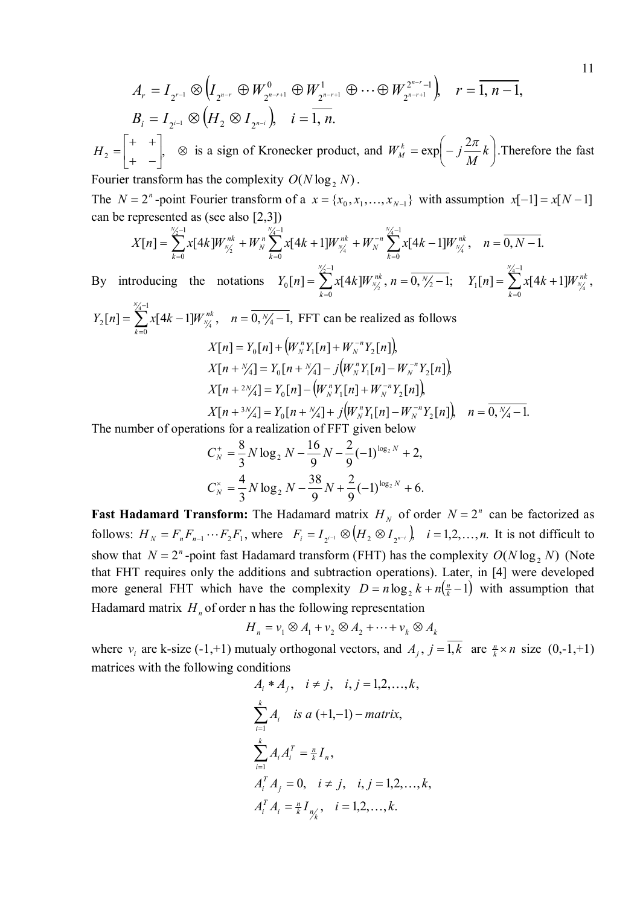$$
A_r = I_{2^{r-1}} \otimes (I_{2^{n-r}} \oplus W_{2^{n-r+1}}^0 \oplus W_{2^{n-r+1}}^1 \oplus \cdots \oplus W_{2^{n-r+1}}^{2^{n-r}-1}), \quad r = \overline{1, n-1},
$$
  
\n
$$
B_i = I_{2^{i-1}} \otimes (H_2 \otimes I_{2^{n-i}}), \quad i = \overline{1, n}.
$$
  
\n
$$
H_2 = \begin{bmatrix} + & + \\ + & - \end{bmatrix}, \quad \text{is a sign of Kronecker product, and } W_M^k = \exp\left(-j\frac{2\pi}{M}k\right). \text{Therefore the fast}
$$
  
\nFourier transform has the complexity  $O(N \log_2 N)$ .

The  $N = 2^n$ -point Fourier transform of a  $x = \{x_0, x_1, \dots, x_{N-1}\}$  with assumption  $x[-1] = x[N-1]$ can be represented as (see also [2,3])

$$
X[n] = \sum_{k=0}^{N_2-1} x[4k]W_{N_2}^{nk} + W_N^n \sum_{k=0}^{N_4-1} x[4k+1]W_{N_4}^{nk} + W_N^{-n} \sum_{k=0}^{N_4-1} x[4k-1]W_{N_4}^{nk}, \quad n = 0, N-1.
$$

By introducing the notations  $Y_0[n] = \sum x[4k] W_{N_A}^{nk}$ ,  $n = 0, \frac{N_2}{2} - 1$ ; 0 0  $=\sum_{n=1}^{\frac{N_{2}-1}{2}}x[4k]W_{\frac{N_{2}}{2}}^{nk},$   $n=\overline{0,\frac{N_{2}}{2}}-1$ = *N k*  $Y_0[n] = \sum_{k} x[4k]W_{N_k}^{nk}$ , *n*  $Y_{N_c}^{nk}$ ,  $n = 0, Y_2 - 1$ ;  $Y_1[n] = \sum x[4k+1]W_{N_c}^{nk}$ , 0 1  $\sum_{k=1}^{N_A-1} x[4k+1]W_{N_A}^{n k}$  $=$  $=$   $\sum x[4k +$ *N k*  $Y_1[n] = \sum_{k} x[4k+1]W_{N_k}^{nk}$ , 1 *N*

$$
Y_2[n] = \sum_{k=0}^{\frac{N}{4}-1} x[4k-1]W_{N/4}^{nk}, \quad n = \overline{0, N/4-1}, \text{ FFT can be realized as follows}
$$
\n
$$
X[n] = Y_0[n] + \left(W_N^n Y_1[n] + W_N^{-n} Y_2[n]\right),
$$
\n
$$
X[n + N/4] = Y_0[n + N/4] - j\left(W_N^n Y_1[n] - W_N^{-n} Y_2[n]\right),
$$
\n
$$
X[n + \frac{2N}{4}] = Y_0[n] - \left(W_N^n Y_1[n] + W_N^{-n} Y_2[n]\right),
$$
\n
$$
X[n + \frac{3N}{4}] = Y_0[n + \frac{N}{4}] + j\left(W_N^n Y_1[n] - W_N^{-n} Y_2[n]\right), \quad n = \overline{0, N/4-1}.
$$

The number of operations for a realization of FFT given below

$$
C_N^+ = \frac{8}{3} N \log_2 N - \frac{16}{9} N - \frac{2}{9} (-1)^{\log_2 N} + 2,
$$
  

$$
C_N^{\times} = \frac{4}{3} N \log_2 N - \frac{38}{9} N + \frac{2}{9} (-1)^{\log_2 N} + 6.
$$

**Fast Hadamard Transform:** The Hadamard matrix  $H_N$  of order  $N = 2^n$  can be factorized as follows:  $H_N = F_n F_{n-1} \cdots F_2 F_1$ , where  $F_i = I_{2^{i-1}} \otimes (H_2 \otimes I_{2^{n-i}})$ ,  $i = 1, 2, \dots, n$ . It is not difficult to show that  $N = 2^n$ -point fast Hadamard transform (FHT) has the complexity  $O(N \log_2 N)$  (Note that FHT requires only the additions and subtraction operations). Later, in [4] were developed more general FHT which have the complexity  $D = n \log_2 k + n(\frac{n}{k} - 1)$  with assumption that Hadamard matrix *H<sup>n</sup>* of order n has the following representation

$$
H_n = v_1 \otimes A_1 + v_2 \otimes A_2 + \dots + v_k \otimes A_k
$$

where  $v_i$  are k-size (-1,+1) mutualy orthogonal vectors, and  $A_j$ ,  $j = 1, k$  are  $\frac{n}{k} \times n$  size (0,-1,+1) matrices with the following conditions

$$
A_i * A_j, \quad i \neq j, \quad i, j = 1, 2, ..., k,
$$
  
\n
$$
\sum_{i=1}^k A_i \quad \text{is a (+1,-1)} - \text{matrix},
$$
  
\n
$$
\sum_{i=1}^k A_i A_i^T = \frac{n}{k} I_n,
$$
  
\n
$$
A_i^T A_j = 0, \quad i \neq j, \quad i, j = 1, 2, ..., k,
$$
  
\n
$$
A_i^T A_i = \frac{n}{k} I_{n/k}, \quad i = 1, 2, ..., k.
$$